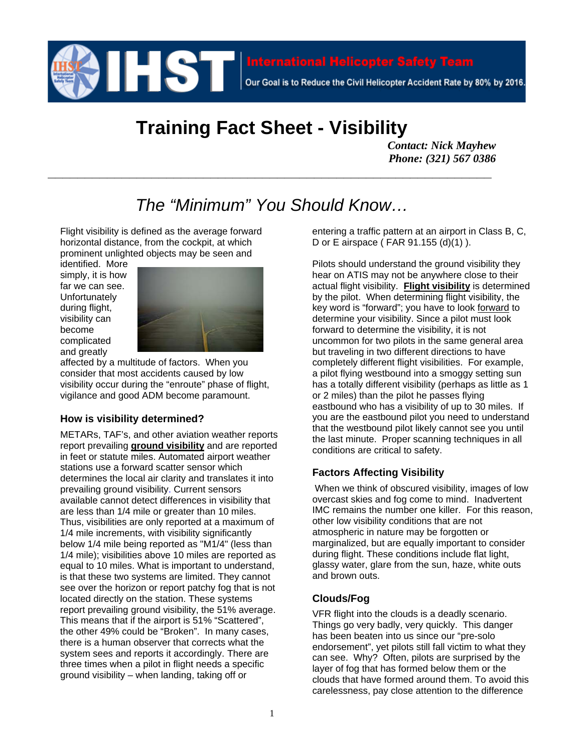

# **Training Fact Sheet - Visibility**

*Contact: Nick Mayhew Phone: (321) 567 0386* 

## *The "Minimum" You Should Know…*

**\_\_\_\_\_\_\_\_\_\_\_\_\_\_\_\_\_\_\_\_\_\_\_\_\_\_\_\_\_\_\_\_\_\_\_\_\_\_\_\_\_\_\_\_\_\_\_\_\_\_\_\_\_\_\_\_\_\_\_\_** 

Flight visibility is defined as the average forward horizontal distance, from the cockpit, at which prominent unlighted objects may be seen and

identified. More simply, it is how far we can see. Unfortunately during flight, visibility can become complicated and greatly



affected by a multitude of factors. When you consider that most accidents caused by low visibility occur during the "enroute" phase of flight, vigilance and good ADM become paramount.

#### **How is visibility determined?**

METARs, TAF's, and other aviation weather reports report prevailing **ground visibility** and are reported in feet or statute miles. Automated airport weather stations use a forward scatter sensor which determines the local air clarity and translates it into prevailing ground visibility. Current sensors available cannot detect differences in visibility that are less than 1/4 mile or greater than 10 miles. Thus, visibilities are only reported at a maximum of 1/4 mile increments, with visibility significantly below 1/4 mile being reported as "M1/4" (less than 1/4 mile); visibilities above 10 miles are reported as equal to 10 miles. What is important to understand, is that these two systems are limited. They cannot see over the horizon or report patchy fog that is not located directly on the station. These systems report prevailing ground visibility, the 51% average. This means that if the airport is 51% "Scattered", the other 49% could be "Broken". In many cases, there is a human observer that corrects what the system sees and reports it accordingly. There are three times when a pilot in flight needs a specific ground visibility – when landing, taking off or

entering a traffic pattern at an airport in Class B, C, D or E airspace ( FAR 91.155 (d)(1) ).

Pilots should understand the ground visibility they hear on ATIS may not be anywhere close to their actual flight visibility. **Flight visibility** is determined by the pilot. When determining flight visibility, the key word is "forward"; you have to look forward to determine your visibility. Since a pilot must look forward to determine the visibility, it is not uncommon for two pilots in the same general area but traveling in two different directions to have completely different flight visibilities. For example, a pilot flying westbound into a smoggy setting sun has a totally different visibility (perhaps as little as 1 or 2 miles) than the pilot he passes flying eastbound who has a visibility of up to 30 miles. If you are the eastbound pilot you need to understand that the westbound pilot likely cannot see you until the last minute. Proper scanning techniques in all conditions are critical to safety.

#### **Factors Affecting Visibility**

 When we think of obscured visibility, images of low overcast skies and fog come to mind. Inadvertent IMC remains the number one killer. For this reason, other low visibility conditions that are not atmospheric in nature may be forgotten or marginalized, but are equally important to consider during flight. These conditions include flat light, glassy water, glare from the sun, haze, white outs and brown outs.

### **Clouds/Fog**

VFR flight into the clouds is a deadly scenario. Things go very badly, very quickly. This danger has been beaten into us since our "pre-solo endorsement", yet pilots still fall victim to what they can see. Why? Often, pilots are surprised by the layer of fog that has formed below them or the clouds that have formed around them. To avoid this carelessness, pay close attention to the difference